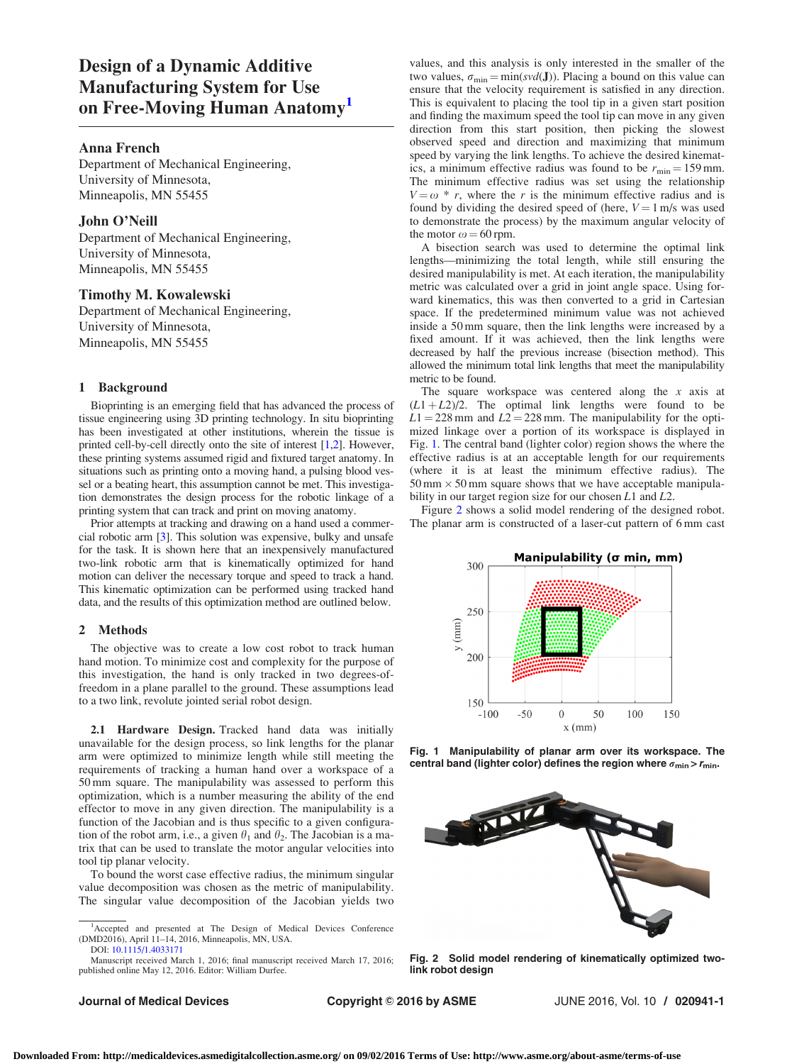# Design of a Dynamic Additive Manufacturing System for Use on Free-Moving Human Anatomy<sup>1</sup>

#### Anna French

Department of Mechanical Engineering, University of Minnesota, Minneapolis, MN 55455

# John O'Neill

Department of Mechanical Engineering, University of Minnesota, Minneapolis, MN 55455

# Timothy M. Kowalewski

Department of Mechanical Engineering, University of Minnesota, Minneapolis, MN 55455

# 1 Background

Bioprinting is an emerging field that has advanced the process of tissue engineering using 3D printing technology. In situ bioprinting has been investigated at other institutions, wherein the tissue is printed cell-by-cell directly onto the site of interest [\[1](#page-1-0),[2\]](#page-1-0). However, these printing systems assumed rigid and fixtured target anatomy. In situations such as printing onto a moving hand, a pulsing blood vessel or a beating heart, this assumption cannot be met. This investigation demonstrates the design process for the robotic linkage of a printing system that can track and print on moving anatomy.

Prior attempts at tracking and drawing on a hand used a commercial robotic arm [\[3](#page-1-0)]. This solution was expensive, bulky and unsafe for the task. It is shown here that an inexpensively manufactured two-link robotic arm that is kinematically optimized for hand motion can deliver the necessary torque and speed to track a hand. This kinematic optimization can be performed using tracked hand data, and the results of this optimization method are outlined below.

#### 2 Methods

The objective was to create a low cost robot to track human hand motion. To minimize cost and complexity for the purpose of this investigation, the hand is only tracked in two degrees-offreedom in a plane parallel to the ground. These assumptions lead to a two link, revolute jointed serial robot design.

2.1 Hardware Design. Tracked hand data was initially unavailable for the design process, so link lengths for the planar arm were optimized to minimize length while still meeting the requirements of tracking a human hand over a workspace of a 50 mm square. The manipulability was assessed to perform this optimization, which is a number measuring the ability of the end effector to move in any given direction. The manipulability is a function of the Jacobian and is thus specific to a given configuration of the robot arm, i.e., a given  $\theta_1$  and  $\theta_2$ . The Jacobian is a matrix that can be used to translate the motor angular velocities into tool tip planar velocity.

To bound the worst case effective radius, the minimum singular value decomposition was chosen as the metric of manipulability. The singular value decomposition of the Jacobian yields two

Manuscript received March 1, 2016; final manuscript received March 17, 2016; published online May 12, 2016. Editor: William Durfee.

values, and this analysis is only interested in the smaller of the two values,  $\sigma_{\min} = \min(\text{svd}(J))$ . Placing a bound on this value can ensure that the velocity requirement is satisfied in any direction. This is equivalent to placing the tool tip in a given start position and finding the maximum speed the tool tip can move in any given direction from this start position, then picking the slowest observed speed and direction and maximizing that minimum speed by varying the link lengths. To achieve the desired kinematics, a minimum effective radius was found to be  $r_{\text{min}} = 159 \text{ mm}$ . The minimum effective radius was set using the relationship  $V = \omega^* r$ , where the r is the minimum effective radius and is found by dividing the desired speed of (here,  $V = 1$  m/s was used to demonstrate the process) by the maximum angular velocity of the motor  $\omega = 60$  rpm.

A bisection search was used to determine the optimal link lengths—minimizing the total length, while still ensuring the desired manipulability is met. At each iteration, the manipulability metric was calculated over a grid in joint angle space. Using forward kinematics, this was then converted to a grid in Cartesian space. If the predetermined minimum value was not achieved inside a 50 mm square, then the link lengths were increased by a fixed amount. If it was achieved, then the link lengths were decreased by half the previous increase (bisection method). This allowed the minimum total link lengths that meet the manipulability metric to be found.

The square workspace was centered along the  $x$  axis at  $(L1 + L2)/2$ . The optimal link lengths were found to be  $L1 = 228$  mm and  $L2 = 228$  mm. The manipulability for the optimized linkage over a portion of its workspace is displayed in Fig. 1. The central band (lighter color) region shows the where the effective radius is at an acceptable length for our requirements (where it is at least the minimum effective radius). The  $50 \text{ mm} \times 50 \text{ mm}$  square shows that we have acceptable manipulability in our target region size for our chosen L1 and L2.

Figure 2 shows a solid model rendering of the designed robot. The planar arm is constructed of a laser-cut pattern of 6 mm cast



Fig. 1 Manipulability of planar arm over its workspace. The central band (lighter color) defines the region where  $\sigma_{\min}$  >  $r_{\min}$ .



Fig. 2 Solid model rendering of kinematically optimized twolink robot design

<sup>&</sup>lt;sup>1</sup>Accepted and presented at The Design of Medical Devices Conference (DMD2016), April 11–14, 2016, Minneapolis, MN, USA. DOI: [10.1115/1.4033171](http://dx.doi.org/10.1115/1.4033171)